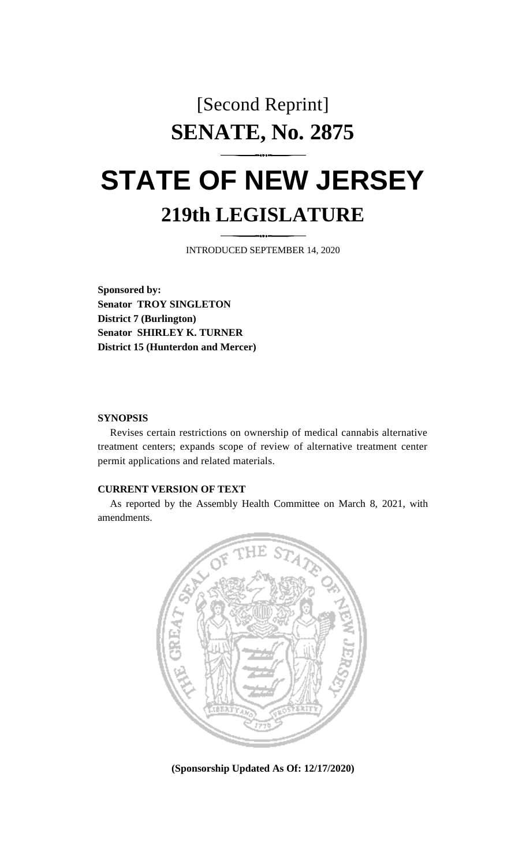# [Second Reprint] **SENATE, No. 2875**

# **STATE OF NEW JERSEY 219th LEGISLATURE**

INTRODUCED SEPTEMBER 14, 2020

**Sponsored by: Senator TROY SINGLETON District 7 (Burlington) Senator SHIRLEY K. TURNER District 15 (Hunterdon and Mercer)**

#### **SYNOPSIS**

Revises certain restrictions on ownership of medical cannabis alternative treatment centers; expands scope of review of alternative treatment center permit applications and related materials.

#### **CURRENT VERSION OF TEXT**

As reported by the Assembly Health Committee on March 8, 2021, with amendments.



**(Sponsorship Updated As Of: 12/17/2020)**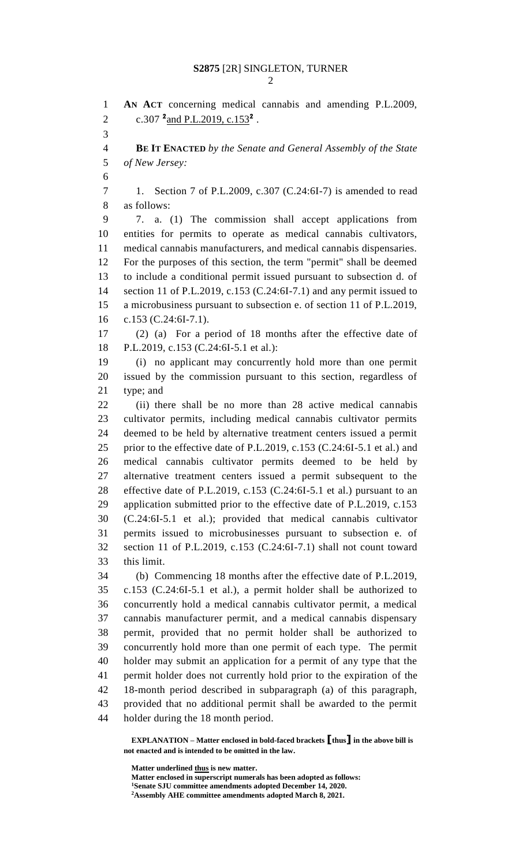**AN ACT** concerning medical cannabis and amending P.L.2009, 2 c.307 <sup>2</sup> and P.L.2019, c.153<sup>2</sup>. **BE IT ENACTED** *by the Senate and General Assembly of the State of New Jersey:* 1. Section 7 of P.L.2009, c.307 (C.24:6I-7) is amended to read as follows: 7. a. (1) The commission shall accept applications from entities for permits to operate as medical cannabis cultivators, medical cannabis manufacturers, and medical cannabis dispensaries. For the purposes of this section, the term "permit" shall be deemed to include a conditional permit issued pursuant to subsection d. of section 11 of P.L.2019, c.153 (C.24:6I-7.1) and any permit issued to a microbusiness pursuant to subsection e. of section 11 of P.L.2019, c.153 (C.24:6I-7.1). (2) (a) For a period of 18 months after the effective date of P.L.2019, c.153 (C.24:6I-5.1 et al.): (i) no applicant may concurrently hold more than one permit issued by the commission pursuant to this section, regardless of type; and (ii) there shall be no more than 28 active medical cannabis cultivator permits, including medical cannabis cultivator permits deemed to be held by alternative treatment centers issued a permit prior to the effective date of P.L.2019, c.153 (C.24:6I-5.1 et al.) and medical cannabis cultivator permits deemed to be held by alternative treatment centers issued a permit subsequent to the effective date of P.L.2019, c.153 (C.24:6I-5.1 et al.) pursuant to an application submitted prior to the effective date of P.L.2019, c.153 (C.24:6I-5.1 et al.); provided that medical cannabis cultivator permits issued to microbusinesses pursuant to subsection e. of section 11 of P.L.2019, c.153 (C.24:6I-7.1) shall not count toward this limit. (b) Commencing 18 months after the effective date of P.L.2019, c.153 (C.24:6I-5.1 et al.), a permit holder shall be authorized to concurrently hold a medical cannabis cultivator permit, a medical cannabis manufacturer permit, and a medical cannabis dispensary permit, provided that no permit holder shall be authorized to concurrently hold more than one permit of each type. The permit holder may submit an application for a permit of any type that the permit holder does not currently hold prior to the expiration of the 18-month period described in subparagraph (a) of this paragraph, provided that no additional permit shall be awarded to the permit holder during the 18 month period.

**EXPLANATION – Matter enclosed in bold-faced brackets [thus] in the above bill is not enacted and is intended to be omitted in the law.**

**Matter underlined thus is new matter.**

**Matter enclosed in superscript numerals has been adopted as follows: Senate SJU committee amendments adopted December 14, 2020. Assembly AHE committee amendments adopted March 8, 2021.**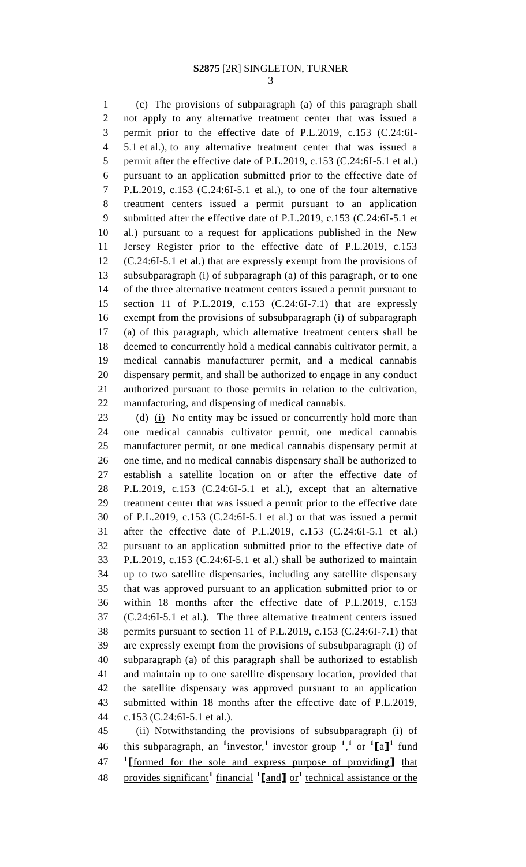(c) The provisions of subparagraph (a) of this paragraph shall not apply to any alternative treatment center that was issued a permit prior to the effective date of P.L.2019, c.153 (C.24:6I- 5.1 et al.), to any alternative treatment center that was issued a 5 permit after the effective date of P.L.2019, c.153 (C.24:6I-5.1 et al.) pursuant to an application submitted prior to the effective date of P.L.2019, c.153 (C.24:6I-5.1 et al.), to one of the four alternative treatment centers issued a permit pursuant to an application submitted after the effective date of P.L.2019, c.153 (C.24:6I-5.1 et al.) pursuant to a request for applications published in the New Jersey Register prior to the effective date of P.L.2019, c.153 (C.24:6I-5.1 et al.) that are expressly exempt from the provisions of subsubparagraph (i) of subparagraph (a) of this paragraph, or to one of the three alternative treatment centers issued a permit pursuant to section 11 of P.L.2019, c.153 (C.24:6I-7.1) that are expressly exempt from the provisions of subsubparagraph (i) of subparagraph (a) of this paragraph, which alternative treatment centers shall be deemed to concurrently hold a medical cannabis cultivator permit, a medical cannabis manufacturer permit, and a medical cannabis dispensary permit, and shall be authorized to engage in any conduct authorized pursuant to those permits in relation to the cultivation, manufacturing, and dispensing of medical cannabis.

23 (d) (i) No entity may be issued or concurrently hold more than one medical cannabis cultivator permit, one medical cannabis manufacturer permit, or one medical cannabis dispensary permit at one time, and no medical cannabis dispensary shall be authorized to establish a satellite location on or after the effective date of P.L.2019, c.153 (C.24:6I-5.1 et al.), except that an alternative treatment center that was issued a permit prior to the effective date of P.L.2019, c.153 (C.24:6I-5.1 et al.) or that was issued a permit after the effective date of P.L.2019, c.153 (C.24:6I-5.1 et al.) pursuant to an application submitted prior to the effective date of P.L.2019, c.153 (C.24:6I-5.1 et al.) shall be authorized to maintain up to two satellite dispensaries, including any satellite dispensary that was approved pursuant to an application submitted prior to or within 18 months after the effective date of P.L.2019, c.153 (C.24:6I-5.1 et al.). The three alternative treatment centers issued permits pursuant to section 11 of P.L.2019, c.153 (C.24:6I-7.1) that are expressly exempt from the provisions of subsubparagraph (i) of subparagraph (a) of this paragraph shall be authorized to establish and maintain up to one satellite dispensary location, provided that the satellite dispensary was approved pursuant to an application submitted within 18 months after the effective date of P.L.2019, c.153 (C.24:6I-5.1 et al.).

 (ii) Notwithstanding the provisions of subsubparagraph (i) of 46 this subparagraph, an <sup>1</sup> investor,<sup>1</sup> investor group <sup>1</sup>,<sup>1</sup> or <sup>1</sup>[a]<sup>1</sup> fund **1 [**formed for the sole and express purpose of providing**]** that provides significant**<sup>1</sup>** financial **<sup>1</sup> [**and**]** or**<sup>1</sup>** technical assistance or the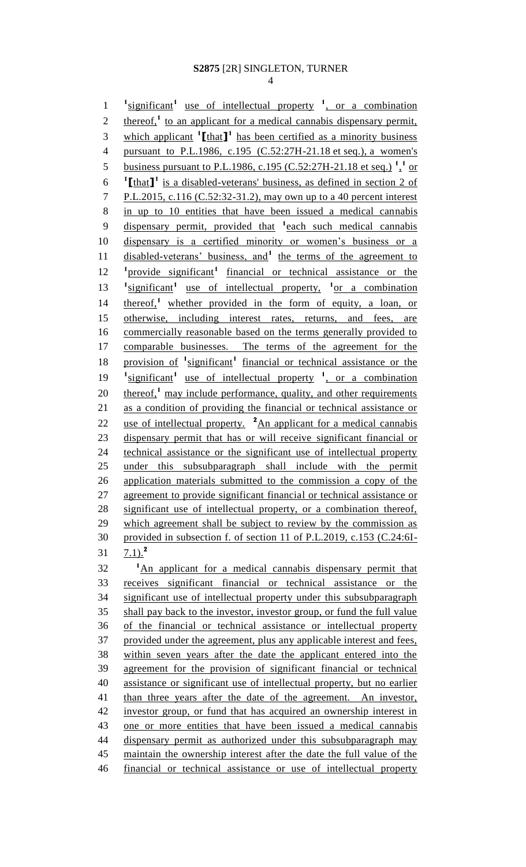1 <sup>1</sup>significant<sup>1</sup> use of intellectual property <sup>1</sup>, or a combination 2 thereof,<sup>1</sup> to an applicant for a medical cannabis dispensary permit, 3 which applicant  $\textbf{1}$  [that **]** has been certified as a minority business pursuant to P.L.1986, c.195 (C.52:27H-21.18 et seq.), a women's 5 business pursuant to P.L.1986, c.195 (C.52:27H-21.18 et seq.)<sup>1</sup><sup>1</sup> or  $\text{[that]}$ <sup>1</sup> is a disabled-veterans' business, as defined in section 2 of P.L.2015, c.116 (C.52:32-31.2), may own up to a 40 percent interest in up to 10 entities that have been issued a medical cannabis 9 dispensary permit, provided that <sup>1</sup> each such medical cannabis dispensary is a certified minority or women's business or a 11 disabled-veterans' business, and<sup>1</sup> the terms of the agreement to 12 <sup>1</sup> provide significant<sup>1</sup> financial or technical assistance or the 13 <sup>1</sup> significant<sup>1</sup> use of intellectual property, <sup>1</sup> or a combination 14 thereof,<sup>1</sup> whether provided in the form of equity, a loan, or 15 otherwise, including interest rates, returns, and fees, are commercially reasonable based on the terms generally provided to comparable businesses. The terms of the agreement for the 18 provision of <sup>1</sup> significant<sup>1</sup> financial or technical assistance or the 19 <sup>1</sup> significant<sup>1</sup> use of intellectual property <sup>1</sup>, or a combination 20 thereof,<sup>1</sup> may include performance, quality, and other requirements as a condition of providing the financial or technical assistance or 22 use of intellectual property.  $^2$ An applicant for a medical cannabis dispensary permit that has or will receive significant financial or technical assistance or the significant use of intellectual property under this subsubparagraph shall include with the permit application materials submitted to the commission a copy of the agreement to provide significant financial or technical assistance or significant use of intellectual property, or a combination thereof, 29 which agreement shall be subject to review by the commission as provided in subsection f. of section 11 of P.L.2019, c.153 (C.24:6I-7.1).**<sup>2</sup>** <sup>1</sup>An applicant for a medical cannabis dispensary permit that receives significant financial or technical assistance or the significant use of intellectual property under this subsubparagraph shall pay back to the investor, investor group, or fund the full value of the financial or technical assistance or intellectual property provided under the agreement, plus any applicable interest and fees, within seven years after the date the applicant entered into the agreement for the provision of significant financial or technical assistance or significant use of intellectual property, but no earlier 41 than three years after the date of the agreement. An investor, investor group, or fund that has acquired an ownership interest in one or more entities that have been issued a medical cannabis dispensary permit as authorized under this subsubparagraph may maintain the ownership interest after the date the full value of the financial or technical assistance or use of intellectual property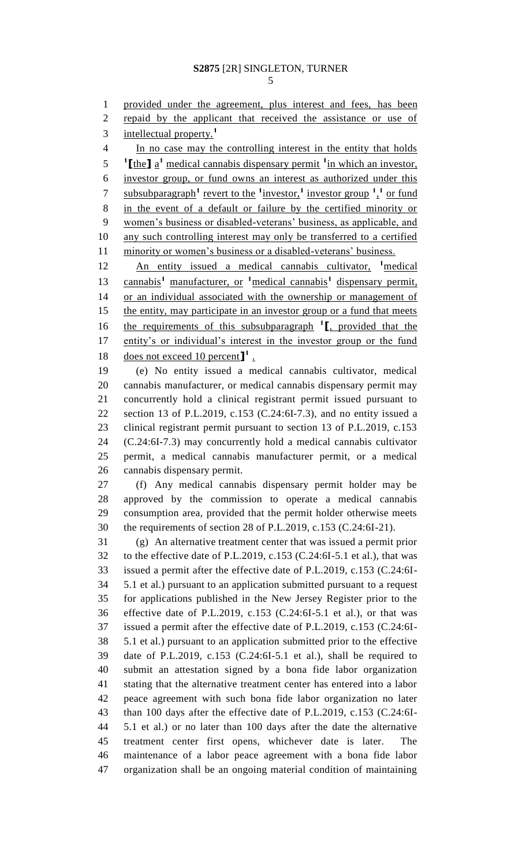provided under the agreement, plus interest and fees, has been repaid by the applicant that received the assistance or use of intellectual property.**<sup>1</sup>** In no case may the controlling interest in the entity that holds [the ] a<sup>t</sup> medical cannabis dispensary permit <sup>1</sup> in which an investor, investor group, or fund owns an interest as authorized under this 7 subsubparagraph<sup>1</sup> revert to the <sup>1</sup>investor,<sup>1</sup> investor group <sup>1</sup>,<sup>1</sup> or fund in the event of a default or failure by the certified minority or women's business or disabled-veterans' business, as applicable, and any such controlling interest may only be transferred to a certified minority or women's business or a disabled-veterans' business. **An entity issued a medical cannabis cultivator, <sup>1</sup> medical** cannabis**<sup>1</sup>** manufacturer, or **<sup>1</sup>**medical cannabis**<sup>1</sup>** dispensary permit, or an individual associated with the ownership or management of 15 the entity, may participate in an investor group or a fund that meets the requirements of this subsubparagraph **<sup>1</sup> [**, provided that the entity's or individual's interest in the investor group or the fund 18 does not exceed 10 percent<sup>1</sup>. (e) No entity issued a medical cannabis cultivator, medical cannabis manufacturer, or medical cannabis dispensary permit may concurrently hold a clinical registrant permit issued pursuant to section 13 of P.L.2019, c.153 (C.24:6I-7.3), and no entity issued a clinical registrant permit pursuant to section 13 of P.L.2019, c.153 (C.24:6I-7.3) may concurrently hold a medical cannabis cultivator permit, a medical cannabis manufacturer permit, or a medical cannabis dispensary permit.

 (f) Any medical cannabis dispensary permit holder may be approved by the commission to operate a medical cannabis consumption area, provided that the permit holder otherwise meets the requirements of section 28 of P.L.2019, c.153 (C.24:6I-21).

 (g) An alternative treatment center that was issued a permit prior to the effective date of P.L.2019, c.153 (C.24:6I-5.1 et al.), that was issued a permit after the effective date of P.L.2019, c.153 (C.24:6I- 5.1 et al.) pursuant to an application submitted pursuant to a request for applications published in the New Jersey Register prior to the effective date of P.L.2019, c.153 (C.24:6I-5.1 et al.), or that was issued a permit after the effective date of P.L.2019, c.153 (C.24:6I- 5.1 et al.) pursuant to an application submitted prior to the effective date of P.L.2019, c.153 (C.24:6I-5.1 et al.), shall be required to submit an attestation signed by a bona fide labor organization stating that the alternative treatment center has entered into a labor peace agreement with such bona fide labor organization no later than 100 days after the effective date of P.L.2019, c.153 (C.24:6I- 5.1 et al.) or no later than 100 days after the date the alternative treatment center first opens, whichever date is later. The maintenance of a labor peace agreement with a bona fide labor organization shall be an ongoing material condition of maintaining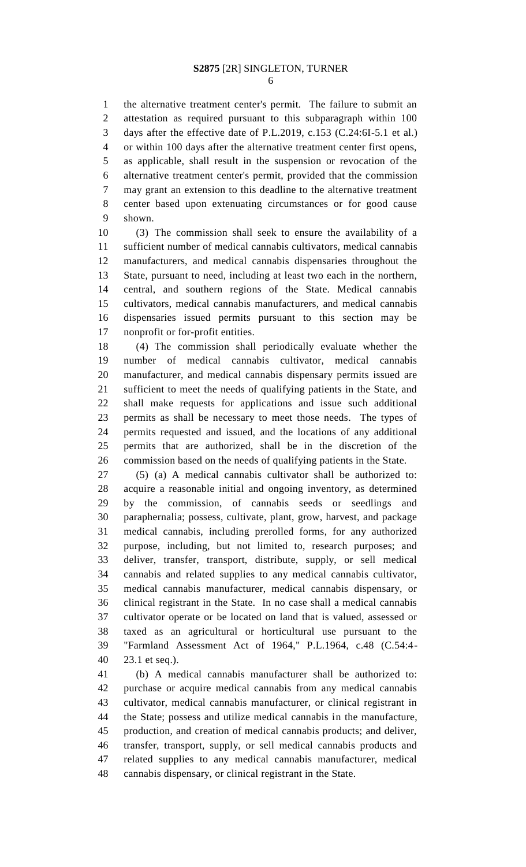the alternative treatment center's permit. The failure to submit an attestation as required pursuant to this subparagraph within 100 days after the effective date of P.L.2019, c.153 (C.24:6I-5.1 et al.) or within 100 days after the alternative treatment center first opens, as applicable, shall result in the suspension or revocation of the alternative treatment center's permit, provided that the commission may grant an extension to this deadline to the alternative treatment center based upon extenuating circumstances or for good cause shown.

 (3) The commission shall seek to ensure the availability of a sufficient number of medical cannabis cultivators, medical cannabis manufacturers, and medical cannabis dispensaries throughout the State, pursuant to need, including at least two each in the northern, central, and southern regions of the State. Medical cannabis cultivators, medical cannabis manufacturers, and medical cannabis dispensaries issued permits pursuant to this section may be nonprofit or for-profit entities.

 (4) The commission shall periodically evaluate whether the number of medical cannabis cultivator, medical cannabis manufacturer, and medical cannabis dispensary permits issued are sufficient to meet the needs of qualifying patients in the State, and shall make requests for applications and issue such additional permits as shall be necessary to meet those needs. The types of permits requested and issued, and the locations of any additional permits that are authorized, shall be in the discretion of the commission based on the needs of qualifying patients in the State.

 (5) (a) A medical cannabis cultivator shall be authorized to: acquire a reasonable initial and ongoing inventory, as determined by the commission, of cannabis seeds or seedlings and paraphernalia; possess, cultivate, plant, grow, harvest, and package medical cannabis, including prerolled forms, for any authorized purpose, including, but not limited to, research purposes; and deliver, transfer, transport, distribute, supply, or sell medical cannabis and related supplies to any medical cannabis cultivator, medical cannabis manufacturer, medical cannabis dispensary, or clinical registrant in the State. In no case shall a medical cannabis cultivator operate or be located on land that is valued, assessed or taxed as an agricultural or horticultural use pursuant to the "Farmland Assessment Act of 1964," P.L.1964, c.48 (C.54:4- 23.1 et seq.).

 (b) A medical cannabis manufacturer shall be authorized to: purchase or acquire medical cannabis from any medical cannabis cultivator, medical cannabis manufacturer, or clinical registrant in the State; possess and utilize medical cannabis in the manufacture, production, and creation of medical cannabis products; and deliver, transfer, transport, supply, or sell medical cannabis products and related supplies to any medical cannabis manufacturer, medical cannabis dispensary, or clinical registrant in the State.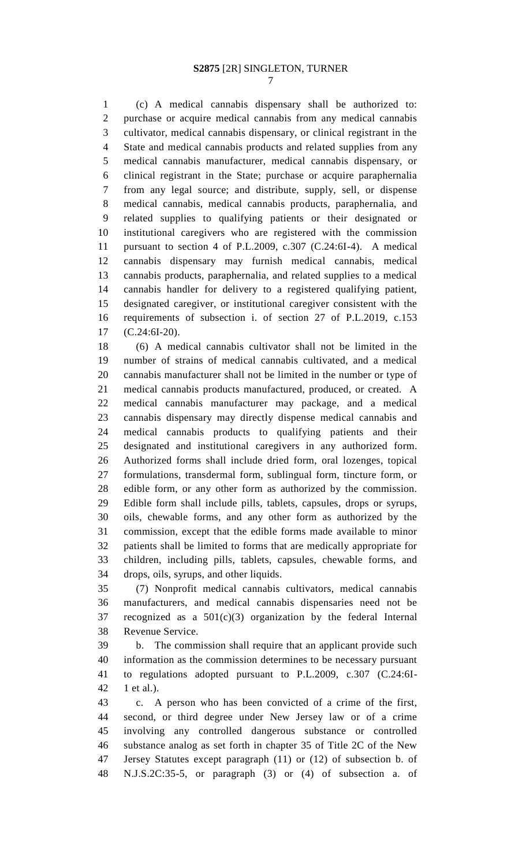(c) A medical cannabis dispensary shall be authorized to: purchase or acquire medical cannabis from any medical cannabis cultivator, medical cannabis dispensary, or clinical registrant in the State and medical cannabis products and related supplies from any medical cannabis manufacturer, medical cannabis dispensary, or clinical registrant in the State; purchase or acquire paraphernalia from any legal source; and distribute, supply, sell, or dispense medical cannabis, medical cannabis products, paraphernalia, and related supplies to qualifying patients or their designated or institutional caregivers who are registered with the commission pursuant to section 4 of P.L.2009, c.307 (C.24:6I-4). A medical cannabis dispensary may furnish medical cannabis, medical cannabis products, paraphernalia, and related supplies to a medical cannabis handler for delivery to a registered qualifying patient, designated caregiver, or institutional caregiver consistent with the requirements of subsection i. of section 27 of P.L.2019, c.153 (C.24:6I-20).

 (6) A medical cannabis cultivator shall not be limited in the number of strains of medical cannabis cultivated, and a medical cannabis manufacturer shall not be limited in the number or type of medical cannabis products manufactured, produced, or created. A medical cannabis manufacturer may package, and a medical cannabis dispensary may directly dispense medical cannabis and medical cannabis products to qualifying patients and their designated and institutional caregivers in any authorized form. Authorized forms shall include dried form, oral lozenges, topical formulations, transdermal form, sublingual form, tincture form, or edible form, or any other form as authorized by the commission. Edible form shall include pills, tablets, capsules, drops or syrups, oils, chewable forms, and any other form as authorized by the commission, except that the edible forms made available to minor patients shall be limited to forms that are medically appropriate for children, including pills, tablets, capsules, chewable forms, and drops, oils, syrups, and other liquids.

 (7) Nonprofit medical cannabis cultivators, medical cannabis manufacturers, and medical cannabis dispensaries need not be recognized as a 501(c)(3) organization by the federal Internal Revenue Service.

 b. The commission shall require that an applicant provide such information as the commission determines to be necessary pursuant to regulations adopted pursuant to P.L.2009, c.307 (C.24:6I-1 et al.).

 c. A person who has been convicted of a crime of the first, second, or third degree under New Jersey law or of a crime involving any controlled dangerous substance or controlled substance analog as set forth in chapter 35 of Title 2C of the New Jersey Statutes except paragraph (11) or (12) of subsection b. of N.J.S.2C:35-5, or paragraph (3) or (4) of subsection a. of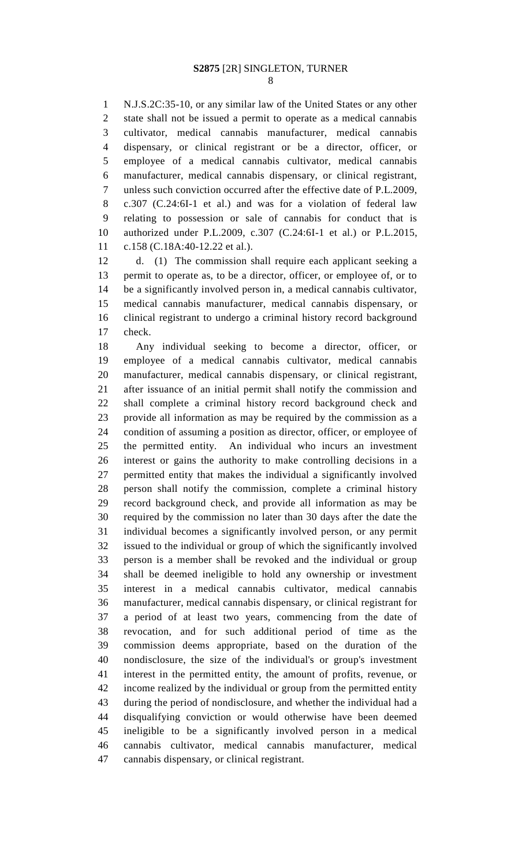N.J.S.2C:35-10, or any similar law of the United States or any other state shall not be issued a permit to operate as a medical cannabis cultivator, medical cannabis manufacturer, medical cannabis dispensary, or clinical registrant or be a director, officer, or employee of a medical cannabis cultivator, medical cannabis manufacturer, medical cannabis dispensary, or clinical registrant, unless such conviction occurred after the effective date of P.L.2009, c.307 (C.24:6I-1 et al.) and was for a violation of federal law relating to possession or sale of cannabis for conduct that is authorized under P.L.2009, c.307 (C.24:6I-1 et al.) or P.L.2015, c.158 (C.18A:40-12.22 et al.).

 d. (1) The commission shall require each applicant seeking a permit to operate as, to be a director, officer, or employee of, or to be a significantly involved person in, a medical cannabis cultivator, medical cannabis manufacturer, medical cannabis dispensary, or clinical registrant to undergo a criminal history record background check.

 Any individual seeking to become a director, officer, or employee of a medical cannabis cultivator, medical cannabis manufacturer, medical cannabis dispensary, or clinical registrant, after issuance of an initial permit shall notify the commission and shall complete a criminal history record background check and provide all information as may be required by the commission as a condition of assuming a position as director, officer, or employee of the permitted entity. An individual who incurs an investment interest or gains the authority to make controlling decisions in a permitted entity that makes the individual a significantly involved person shall notify the commission, complete a criminal history record background check, and provide all information as may be required by the commission no later than 30 days after the date the individual becomes a significantly involved person, or any permit issued to the individual or group of which the significantly involved person is a member shall be revoked and the individual or group shall be deemed ineligible to hold any ownership or investment interest in a medical cannabis cultivator, medical cannabis manufacturer, medical cannabis dispensary, or clinical registrant for a period of at least two years, commencing from the date of revocation, and for such additional period of time as the commission deems appropriate, based on the duration of the nondisclosure, the size of the individual's or group's investment interest in the permitted entity, the amount of profits, revenue, or income realized by the individual or group from the permitted entity during the period of nondisclosure, and whether the individual had a disqualifying conviction or would otherwise have been deemed ineligible to be a significantly involved person in a medical cannabis cultivator, medical cannabis manufacturer, medical cannabis dispensary, or clinical registrant.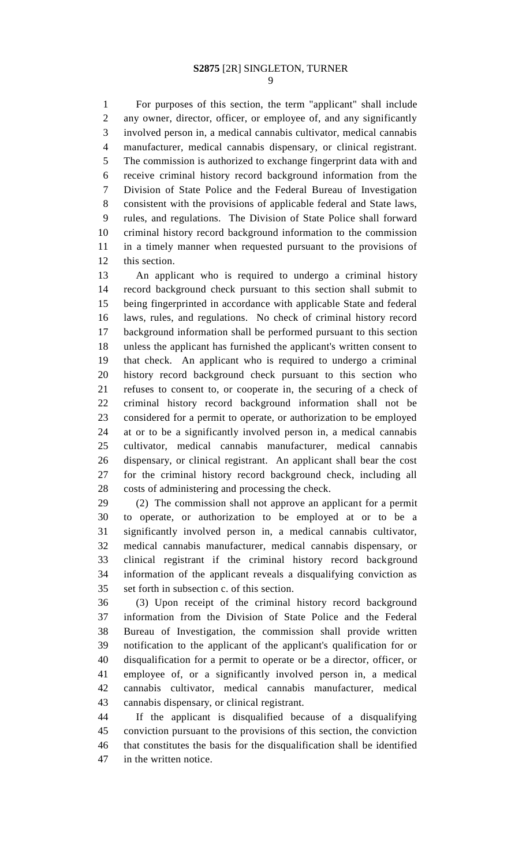For purposes of this section, the term "applicant" shall include any owner, director, officer, or employee of, and any significantly involved person in, a medical cannabis cultivator, medical cannabis manufacturer, medical cannabis dispensary, or clinical registrant. The commission is authorized to exchange fingerprint data with and receive criminal history record background information from the Division of State Police and the Federal Bureau of Investigation consistent with the provisions of applicable federal and State laws, rules, and regulations. The Division of State Police shall forward criminal history record background information to the commission in a timely manner when requested pursuant to the provisions of this section.

 An applicant who is required to undergo a criminal history record background check pursuant to this section shall submit to being fingerprinted in accordance with applicable State and federal laws, rules, and regulations. No check of criminal history record background information shall be performed pursuant to this section unless the applicant has furnished the applicant's written consent to that check. An applicant who is required to undergo a criminal history record background check pursuant to this section who refuses to consent to, or cooperate in, the securing of a check of criminal history record background information shall not be considered for a permit to operate, or authorization to be employed at or to be a significantly involved person in, a medical cannabis cultivator, medical cannabis manufacturer, medical cannabis dispensary, or clinical registrant. An applicant shall bear the cost for the criminal history record background check, including all costs of administering and processing the check.

 (2) The commission shall not approve an applicant for a permit to operate, or authorization to be employed at or to be a significantly involved person in, a medical cannabis cultivator, medical cannabis manufacturer, medical cannabis dispensary, or clinical registrant if the criminal history record background information of the applicant reveals a disqualifying conviction as set forth in subsection c. of this section.

 (3) Upon receipt of the criminal history record background information from the Division of State Police and the Federal Bureau of Investigation, the commission shall provide written notification to the applicant of the applicant's qualification for or disqualification for a permit to operate or be a director, officer, or employee of, or a significantly involved person in, a medical cannabis cultivator, medical cannabis manufacturer, medical cannabis dispensary, or clinical registrant.

 If the applicant is disqualified because of a disqualifying conviction pursuant to the provisions of this section, the conviction that constitutes the basis for the disqualification shall be identified in the written notice.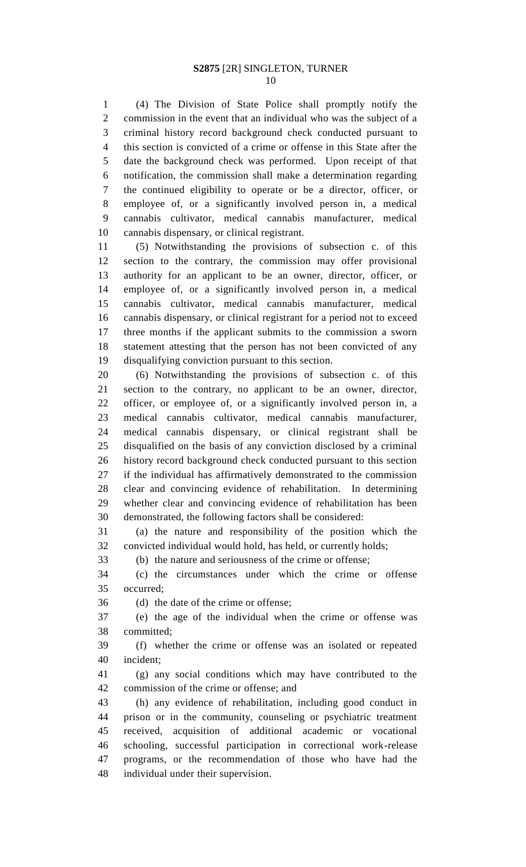(4) The Division of State Police shall promptly notify the commission in the event that an individual who was the subject of a criminal history record background check conducted pursuant to this section is convicted of a crime or offense in this State after the date the background check was performed. Upon receipt of that notification, the commission shall make a determination regarding the continued eligibility to operate or be a director, officer, or employee of, or a significantly involved person in, a medical cannabis cultivator, medical cannabis manufacturer, medical cannabis dispensary, or clinical registrant.

 (5) Notwithstanding the provisions of subsection c. of this section to the contrary, the commission may offer provisional authority for an applicant to be an owner, director, officer, or employee of, or a significantly involved person in, a medical cannabis cultivator, medical cannabis manufacturer, medical cannabis dispensary, or clinical registrant for a period not to exceed three months if the applicant submits to the commission a sworn statement attesting that the person has not been convicted of any disqualifying conviction pursuant to this section.

 (6) Notwithstanding the provisions of subsection c. of this section to the contrary, no applicant to be an owner, director, officer, or employee of, or a significantly involved person in, a medical cannabis cultivator, medical cannabis manufacturer, medical cannabis dispensary, or clinical registrant shall be disqualified on the basis of any conviction disclosed by a criminal history record background check conducted pursuant to this section if the individual has affirmatively demonstrated to the commission clear and convincing evidence of rehabilitation. In determining whether clear and convincing evidence of rehabilitation has been demonstrated, the following factors shall be considered:

 (a) the nature and responsibility of the position which the convicted individual would hold, has held, or currently holds;

(b) the nature and seriousness of the crime or offense;

 (c) the circumstances under which the crime or offense occurred;

(d) the date of the crime or offense;

 (e) the age of the individual when the crime or offense was committed;

 (f) whether the crime or offense was an isolated or repeated incident;

 (g) any social conditions which may have contributed to the commission of the crime or offense; and

 (h) any evidence of rehabilitation, including good conduct in prison or in the community, counseling or psychiatric treatment received, acquisition of additional academic or vocational schooling, successful participation in correctional work-release programs, or the recommendation of those who have had the individual under their supervision.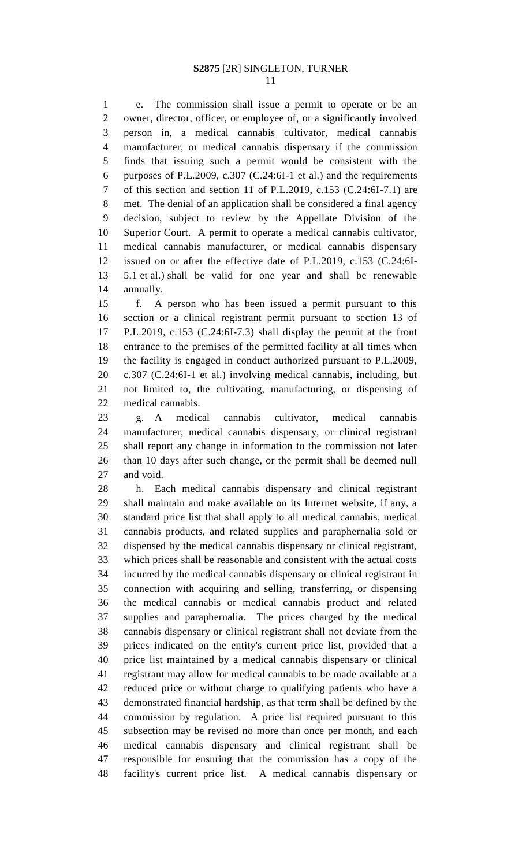e. The commission shall issue a permit to operate or be an owner, director, officer, or employee of, or a significantly involved person in, a medical cannabis cultivator, medical cannabis manufacturer, or medical cannabis dispensary if the commission finds that issuing such a permit would be consistent with the purposes of P.L.2009, c.307 (C.24:6I-1 et al.) and the requirements of this section and section 11 of P.L.2019, c.153 (C.24:6I-7.1) are met. The denial of an application shall be considered a final agency decision, subject to review by the Appellate Division of the Superior Court. A permit to operate a medical cannabis cultivator, medical cannabis manufacturer, or medical cannabis dispensary issued on or after the effective date of P.L.2019, c.153 (C.24:6I- 5.1 et al.) shall be valid for one year and shall be renewable annually.

 f. A person who has been issued a permit pursuant to this section or a clinical registrant permit pursuant to section 13 of P.L.2019, c.153 (C.24:6I-7.3) shall display the permit at the front entrance to the premises of the permitted facility at all times when the facility is engaged in conduct authorized pursuant to P.L.2009, c.307 (C.24:6I-1 et al.) involving medical cannabis, including, but not limited to, the cultivating, manufacturing, or dispensing of medical cannabis.

 g. A medical cannabis cultivator, medical cannabis manufacturer, medical cannabis dispensary, or clinical registrant shall report any change in information to the commission not later than 10 days after such change, or the permit shall be deemed null and void.

 h. Each medical cannabis dispensary and clinical registrant shall maintain and make available on its Internet website, if any, a standard price list that shall apply to all medical cannabis, medical cannabis products, and related supplies and paraphernalia sold or dispensed by the medical cannabis dispensary or clinical registrant, which prices shall be reasonable and consistent with the actual costs incurred by the medical cannabis dispensary or clinical registrant in connection with acquiring and selling, transferring, or dispensing the medical cannabis or medical cannabis product and related supplies and paraphernalia. The prices charged by the medical cannabis dispensary or clinical registrant shall not deviate from the prices indicated on the entity's current price list, provided that a price list maintained by a medical cannabis dispensary or clinical registrant may allow for medical cannabis to be made available at a reduced price or without charge to qualifying patients who have a demonstrated financial hardship, as that term shall be defined by the commission by regulation. A price list required pursuant to this subsection may be revised no more than once per month, and each medical cannabis dispensary and clinical registrant shall be responsible for ensuring that the commission has a copy of the facility's current price list. A medical cannabis dispensary or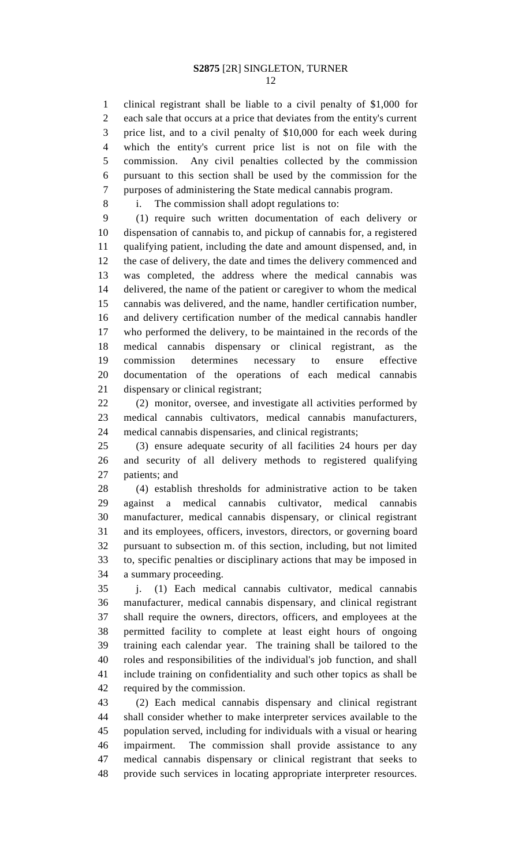clinical registrant shall be liable to a civil penalty of \$1,000 for

 each sale that occurs at a price that deviates from the entity's current price list, and to a civil penalty of \$10,000 for each week during which the entity's current price list is not on file with the commission. Any civil penalties collected by the commission pursuant to this section shall be used by the commission for the purposes of administering the State medical cannabis program.

i. The commission shall adopt regulations to:

 (1) require such written documentation of each delivery or dispensation of cannabis to, and pickup of cannabis for, a registered qualifying patient, including the date and amount dispensed, and, in the case of delivery, the date and times the delivery commenced and was completed, the address where the medical cannabis was delivered, the name of the patient or caregiver to whom the medical cannabis was delivered, and the name, handler certification number, and delivery certification number of the medical cannabis handler who performed the delivery, to be maintained in the records of the medical cannabis dispensary or clinical registrant, as the commission determines necessary to ensure effective documentation of the operations of each medical cannabis dispensary or clinical registrant;

 (2) monitor, oversee, and investigate all activities performed by medical cannabis cultivators, medical cannabis manufacturers, medical cannabis dispensaries, and clinical registrants;

 (3) ensure adequate security of all facilities 24 hours per day and security of all delivery methods to registered qualifying patients; and

 (4) establish thresholds for administrative action to be taken against a medical cannabis cultivator, medical cannabis manufacturer, medical cannabis dispensary, or clinical registrant and its employees, officers, investors, directors, or governing board pursuant to subsection m. of this section, including, but not limited to, specific penalties or disciplinary actions that may be imposed in a summary proceeding.

 j. (1) Each medical cannabis cultivator, medical cannabis manufacturer, medical cannabis dispensary, and clinical registrant shall require the owners, directors, officers, and employees at the permitted facility to complete at least eight hours of ongoing training each calendar year. The training shall be tailored to the roles and responsibilities of the individual's job function, and shall include training on confidentiality and such other topics as shall be required by the commission.

 (2) Each medical cannabis dispensary and clinical registrant shall consider whether to make interpreter services available to the population served, including for individuals with a visual or hearing impairment. The commission shall provide assistance to any medical cannabis dispensary or clinical registrant that seeks to provide such services in locating appropriate interpreter resources.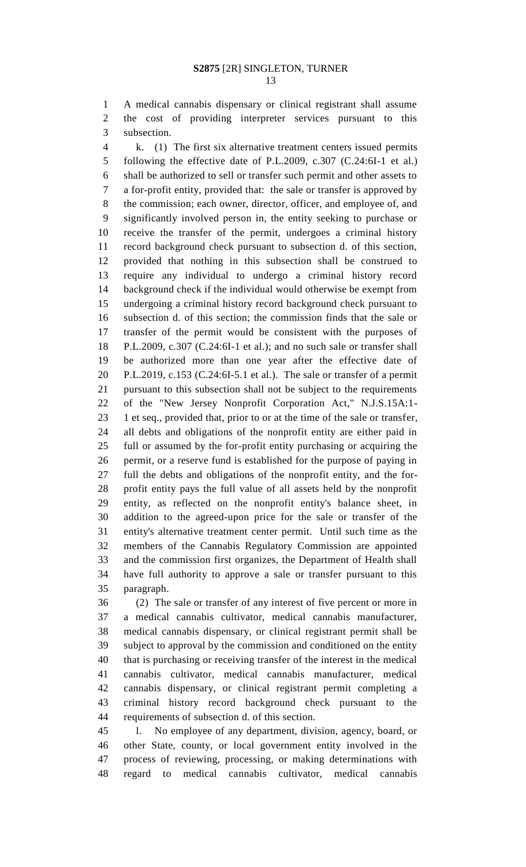A medical cannabis dispensary or clinical registrant shall assume the cost of providing interpreter services pursuant to this subsection.

 k. (1) The first six alternative treatment centers issued permits following the effective date of P.L.2009, c.307 (C.24:6I-1 et al.) shall be authorized to sell or transfer such permit and other assets to a for-profit entity, provided that: the sale or transfer is approved by the commission; each owner, director, officer, and employee of, and significantly involved person in, the entity seeking to purchase or receive the transfer of the permit, undergoes a criminal history record background check pursuant to subsection d. of this section, provided that nothing in this subsection shall be construed to require any individual to undergo a criminal history record background check if the individual would otherwise be exempt from undergoing a criminal history record background check pursuant to subsection d. of this section; the commission finds that the sale or transfer of the permit would be consistent with the purposes of P.L.2009, c.307 (C.24:6I-1 et al.); and no such sale or transfer shall be authorized more than one year after the effective date of P.L.2019, c.153 (C.24:6I-5.1 et al.). The sale or transfer of a permit pursuant to this subsection shall not be subject to the requirements of the "New Jersey Nonprofit Corporation Act," N.J.S.15A:1- 1 et seq., provided that, prior to or at the time of the sale or transfer, all debts and obligations of the nonprofit entity are either paid in full or assumed by the for-profit entity purchasing or acquiring the permit, or a reserve fund is established for the purpose of paying in full the debts and obligations of the nonprofit entity, and the for- profit entity pays the full value of all assets held by the nonprofit entity, as reflected on the nonprofit entity's balance sheet, in addition to the agreed-upon price for the sale or transfer of the entity's alternative treatment center permit. Until such time as the members of the Cannabis Regulatory Commission are appointed and the commission first organizes, the Department of Health shall have full authority to approve a sale or transfer pursuant to this paragraph.

 (2) The sale or transfer of any interest of five percent or more in a medical cannabis cultivator, medical cannabis manufacturer, medical cannabis dispensary, or clinical registrant permit shall be subject to approval by the commission and conditioned on the entity that is purchasing or receiving transfer of the interest in the medical cannabis cultivator, medical cannabis manufacturer, medical cannabis dispensary, or clinical registrant permit completing a criminal history record background check pursuant to the requirements of subsection d. of this section.

 l. No employee of any department, division, agency, board, or other State, county, or local government entity involved in the process of reviewing, processing, or making determinations with regard to medical cannabis cultivator, medical cannabis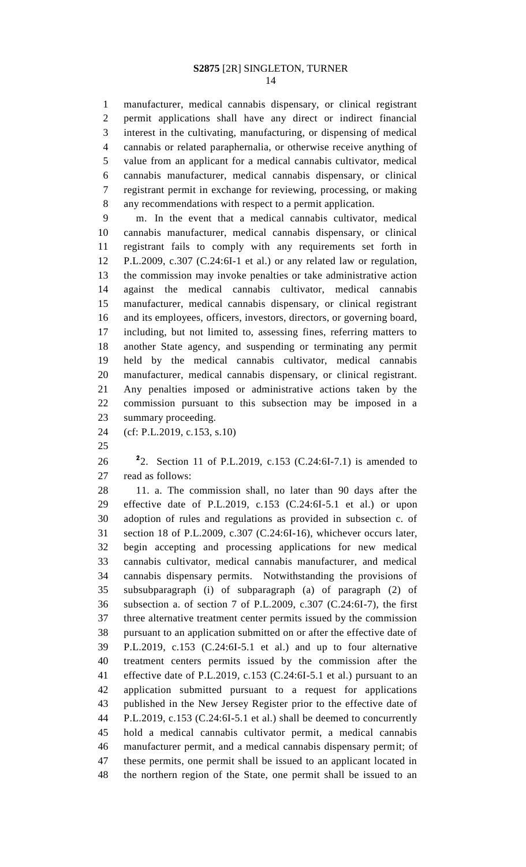manufacturer, medical cannabis dispensary, or clinical registrant permit applications shall have any direct or indirect financial interest in the cultivating, manufacturing, or dispensing of medical cannabis or related paraphernalia, or otherwise receive anything of value from an applicant for a medical cannabis cultivator, medical cannabis manufacturer, medical cannabis dispensary, or clinical registrant permit in exchange for reviewing, processing, or making any recommendations with respect to a permit application.

 m. In the event that a medical cannabis cultivator, medical cannabis manufacturer, medical cannabis dispensary, or clinical registrant fails to comply with any requirements set forth in P.L.2009, c.307 (C.24:6I-1 et al.) or any related law or regulation, the commission may invoke penalties or take administrative action against the medical cannabis cultivator, medical cannabis manufacturer, medical cannabis dispensary, or clinical registrant and its employees, officers, investors, directors, or governing board, including, but not limited to, assessing fines, referring matters to another State agency, and suspending or terminating any permit held by the medical cannabis cultivator, medical cannabis manufacturer, medical cannabis dispensary, or clinical registrant. Any penalties imposed or administrative actions taken by the commission pursuant to this subsection may be imposed in a summary proceeding.

(cf: P.L.2019, c.153, s.10)

**2** 2. Section 11 of P.L.2019, c.153 (C.24:6I-7.1) is amended to read as follows:

 11. a. The commission shall, no later than 90 days after the effective date of P.L.2019, c.153 (C.24:6I-5.1 et al.) or upon adoption of rules and regulations as provided in subsection c. of section 18 of P.L.2009, c.307 (C.24:6I-16), whichever occurs later, begin accepting and processing applications for new medical cannabis cultivator, medical cannabis manufacturer, and medical cannabis dispensary permits. Notwithstanding the provisions of subsubparagraph (i) of subparagraph (a) of paragraph (2) of subsection a. of section 7 of P.L.2009, c.307 (C.24:6I-7), the first three alternative treatment center permits issued by the commission pursuant to an application submitted on or after the effective date of P.L.2019, c.153 (C.24:6I-5.1 et al.) and up to four alternative treatment centers permits issued by the commission after the effective date of P.L.2019, c.153 (C.24:6I-5.1 et al.) pursuant to an application submitted pursuant to a request for applications published in the New Jersey Register prior to the effective date of P.L.2019, c.153 (C.24:6I-5.1 et al.) shall be deemed to concurrently hold a medical cannabis cultivator permit, a medical cannabis manufacturer permit, and a medical cannabis dispensary permit; of these permits, one permit shall be issued to an applicant located in the northern region of the State, one permit shall be issued to an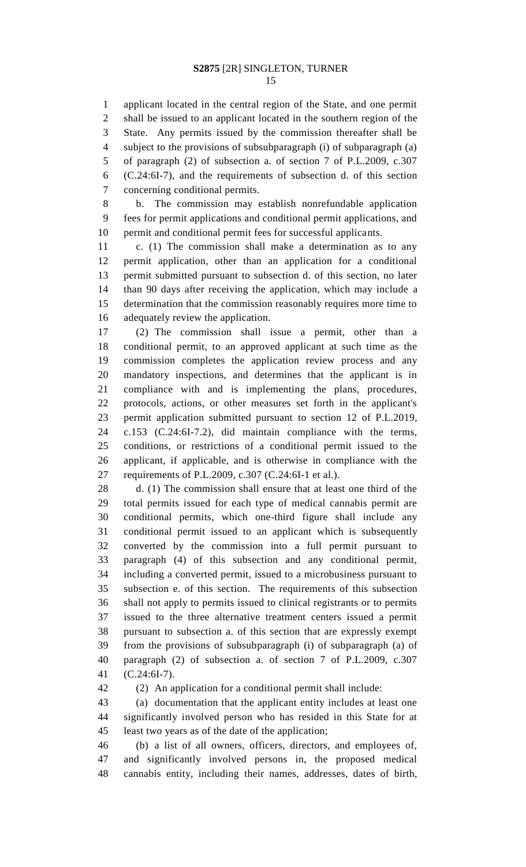applicant located in the central region of the State, and one permit shall be issued to an applicant located in the southern region of the State. Any permits issued by the commission thereafter shall be subject to the provisions of subsubparagraph (i) of subparagraph (a) of paragraph (2) of subsection a. of section 7 of P.L.2009, c.307 (C.24:6I-7), and the requirements of subsection d. of this section

 concerning conditional permits. b. The commission may establish nonrefundable application fees for permit applications and conditional permit applications, and

 permit and conditional permit fees for successful applicants. c. (1) The commission shall make a determination as to any permit application, other than an application for a conditional

 permit submitted pursuant to subsection d. of this section, no later than 90 days after receiving the application, which may include a determination that the commission reasonably requires more time to adequately review the application.

 (2) The commission shall issue a permit, other than a conditional permit, to an approved applicant at such time as the commission completes the application review process and any mandatory inspections, and determines that the applicant is in compliance with and is implementing the plans, procedures, protocols, actions, or other measures set forth in the applicant's permit application submitted pursuant to section 12 of P.L.2019, c.153 (C.24:6I-7.2), did maintain compliance with the terms, conditions, or restrictions of a conditional permit issued to the applicant, if applicable, and is otherwise in compliance with the requirements of P.L.2009, c.307 (C.24:6I-1 et al.).

 d. (1) The commission shall ensure that at least one third of the total permits issued for each type of medical cannabis permit are conditional permits, which one-third figure shall include any conditional permit issued to an applicant which is subsequently converted by the commission into a full permit pursuant to paragraph (4) of this subsection and any conditional permit, including a converted permit, issued to a microbusiness pursuant to subsection e. of this section. The requirements of this subsection shall not apply to permits issued to clinical registrants or to permits issued to the three alternative treatment centers issued a permit pursuant to subsection a. of this section that are expressly exempt from the provisions of subsubparagraph (i) of subparagraph (a) of paragraph (2) of subsection a. of section 7 of P.L.2009, c.307 (C.24:6I-7).

(2) An application for a conditional permit shall include:

 (a) documentation that the applicant entity includes at least one significantly involved person who has resided in this State for at least two years as of the date of the application;

 (b) a list of all owners, officers, directors, and employees of, and significantly involved persons in, the proposed medical cannabis entity, including their names, addresses, dates of birth,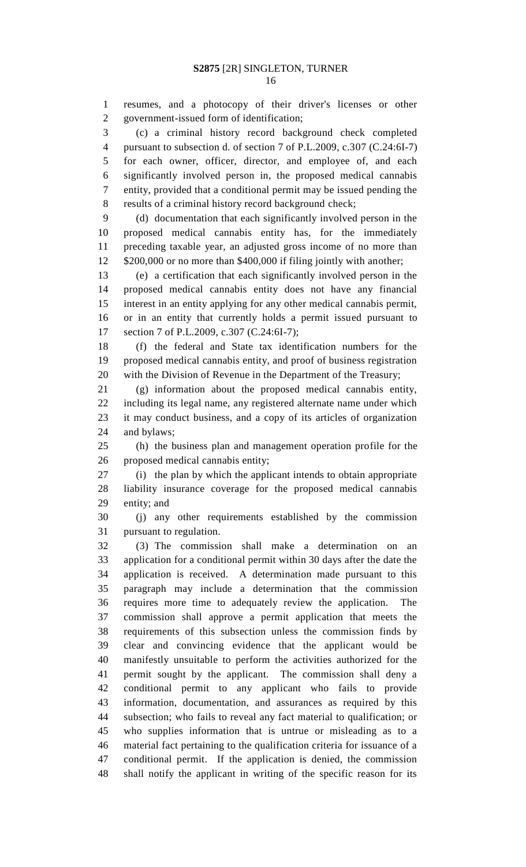resumes, and a photocopy of their driver's licenses or other government-issued form of identification;

 (c) a criminal history record background check completed pursuant to subsection d. of section 7 of P.L.2009, c.307 (C.24:6I-7) for each owner, officer, director, and employee of, and each significantly involved person in, the proposed medical cannabis entity, provided that a conditional permit may be issued pending the results of a criminal history record background check;

 (d) documentation that each significantly involved person in the proposed medical cannabis entity has, for the immediately preceding taxable year, an adjusted gross income of no more than \$200,000 or no more than \$400,000 if filing jointly with another;

 (e) a certification that each significantly involved person in the proposed medical cannabis entity does not have any financial interest in an entity applying for any other medical cannabis permit, or in an entity that currently holds a permit issued pursuant to 17 section 7 of P.L.2009, c.307 (C.24:6I-7);

 (f) the federal and State tax identification numbers for the proposed medical cannabis entity, and proof of business registration with the Division of Revenue in the Department of the Treasury;

 (g) information about the proposed medical cannabis entity, including its legal name, any registered alternate name under which it may conduct business, and a copy of its articles of organization and bylaws;

 (h) the business plan and management operation profile for the proposed medical cannabis entity;

 (i) the plan by which the applicant intends to obtain appropriate liability insurance coverage for the proposed medical cannabis entity; and

 (j) any other requirements established by the commission pursuant to regulation.

 (3) The commission shall make a determination on an application for a conditional permit within 30 days after the date the application is received. A determination made pursuant to this paragraph may include a determination that the commission requires more time to adequately review the application. The commission shall approve a permit application that meets the requirements of this subsection unless the commission finds by clear and convincing evidence that the applicant would be manifestly unsuitable to perform the activities authorized for the permit sought by the applicant. The commission shall deny a conditional permit to any applicant who fails to provide information, documentation, and assurances as required by this subsection; who fails to reveal any fact material to qualification; or who supplies information that is untrue or misleading as to a material fact pertaining to the qualification criteria for issuance of a conditional permit. If the application is denied, the commission shall notify the applicant in writing of the specific reason for its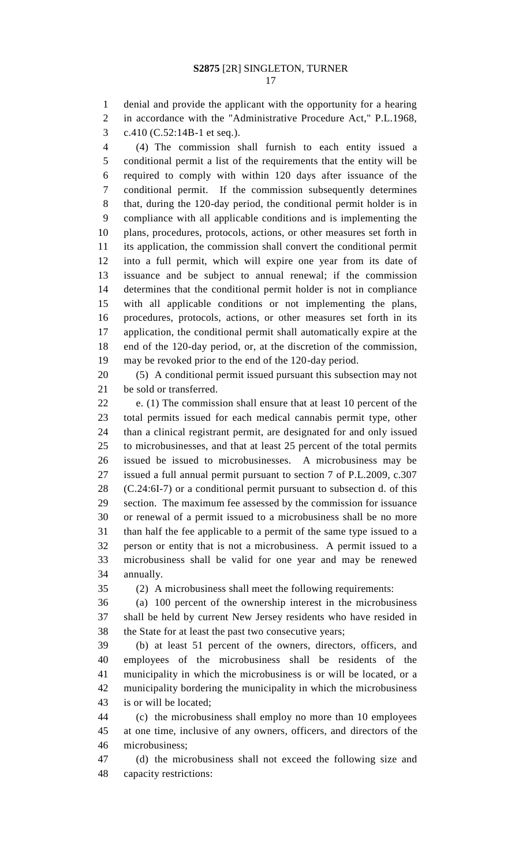denial and provide the applicant with the opportunity for a hearing in accordance with the "Administrative Procedure Act," P.L.1968, c.410 (C.52:14B-1 et seq.).

 (4) The commission shall furnish to each entity issued a conditional permit a list of the requirements that the entity will be required to comply with within 120 days after issuance of the conditional permit. If the commission subsequently determines that, during the 120-day period, the conditional permit holder is in compliance with all applicable conditions and is implementing the plans, procedures, protocols, actions, or other measures set forth in its application, the commission shall convert the conditional permit into a full permit, which will expire one year from its date of issuance and be subject to annual renewal; if the commission determines that the conditional permit holder is not in compliance with all applicable conditions or not implementing the plans, procedures, protocols, actions, or other measures set forth in its application, the conditional permit shall automatically expire at the end of the 120-day period, or, at the discretion of the commission, may be revoked prior to the end of the 120-day period.

 (5) A conditional permit issued pursuant this subsection may not be sold or transferred.

 e. (1) The commission shall ensure that at least 10 percent of the total permits issued for each medical cannabis permit type, other than a clinical registrant permit, are designated for and only issued to microbusinesses, and that at least 25 percent of the total permits issued be issued to microbusinesses. A microbusiness may be issued a full annual permit pursuant to section 7 of P.L.2009, c.307 (C.24:6I-7) or a conditional permit pursuant to subsection d. of this section. The maximum fee assessed by the commission for issuance or renewal of a permit issued to a microbusiness shall be no more than half the fee applicable to a permit of the same type issued to a person or entity that is not a microbusiness. A permit issued to a microbusiness shall be valid for one year and may be renewed annually.

(2) A microbusiness shall meet the following requirements:

 (a) 100 percent of the ownership interest in the microbusiness shall be held by current New Jersey residents who have resided in the State for at least the past two consecutive years;

 (b) at least 51 percent of the owners, directors, officers, and employees of the microbusiness shall be residents of the municipality in which the microbusiness is or will be located, or a municipality bordering the municipality in which the microbusiness is or will be located;

 (c) the microbusiness shall employ no more than 10 employees at one time, inclusive of any owners, officers, and directors of the microbusiness;

 (d) the microbusiness shall not exceed the following size and capacity restrictions: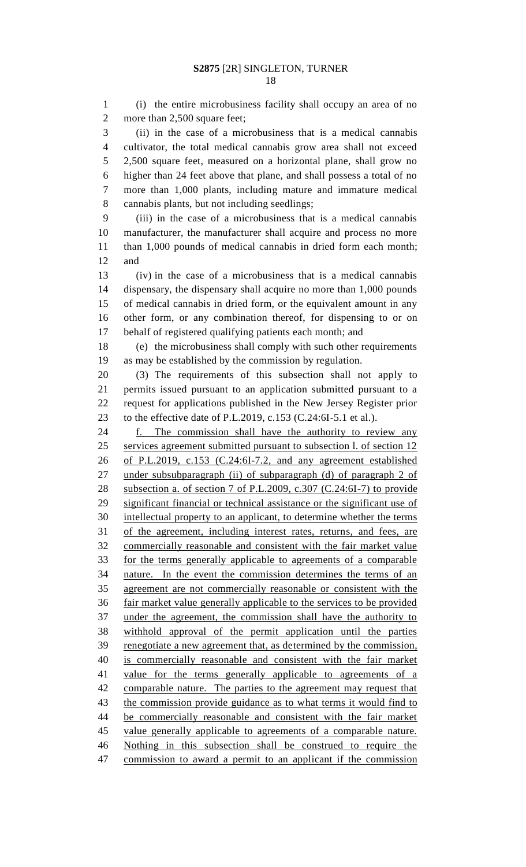(i) the entire microbusiness facility shall occupy an area of no 2 more than 2,500 square feet; (ii) in the case of a microbusiness that is a medical cannabis

 cultivator, the total medical cannabis grow area shall not exceed 2,500 square feet, measured on a horizontal plane, shall grow no higher than 24 feet above that plane, and shall possess a total of no more than 1,000 plants, including mature and immature medical cannabis plants, but not including seedlings;

 (iii) in the case of a microbusiness that is a medical cannabis manufacturer, the manufacturer shall acquire and process no more than 1,000 pounds of medical cannabis in dried form each month; and

 (iv) in the case of a microbusiness that is a medical cannabis dispensary, the dispensary shall acquire no more than 1,000 pounds of medical cannabis in dried form, or the equivalent amount in any other form, or any combination thereof, for dispensing to or on behalf of registered qualifying patients each month; and

 (e) the microbusiness shall comply with such other requirements as may be established by the commission by regulation.

 (3) The requirements of this subsection shall not apply to permits issued pursuant to an application submitted pursuant to a request for applications published in the New Jersey Register prior to the effective date of P.L.2019, c.153 (C.24:6I-5.1 et al.).

 f. The commission shall have the authority to review any services agreement submitted pursuant to subsection l. of section 12 of P.L.2019, c.153 (C.24:6I-7.2, and any agreement established 27 under subsubparagraph (ii) of subparagraph (d) of paragraph 2 of subsection a. of section 7 of P.L.2009, c.307 (C.24:6I-7) to provide significant financial or technical assistance or the significant use of intellectual property to an applicant, to determine whether the terms of the agreement, including interest rates, returns, and fees, are commercially reasonable and consistent with the fair market value for the terms generally applicable to agreements of a comparable nature. In the event the commission determines the terms of an agreement are not commercially reasonable or consistent with the fair market value generally applicable to the services to be provided under the agreement, the commission shall have the authority to withhold approval of the permit application until the parties renegotiate a new agreement that, as determined by the commission, is commercially reasonable and consistent with the fair market 41 value for the terms generally applicable to agreements of a comparable nature. The parties to the agreement may request that 43 the commission provide guidance as to what terms it would find to be commercially reasonable and consistent with the fair market value generally applicable to agreements of a comparable nature. Nothing in this subsection shall be construed to require the commission to award a permit to an applicant if the commission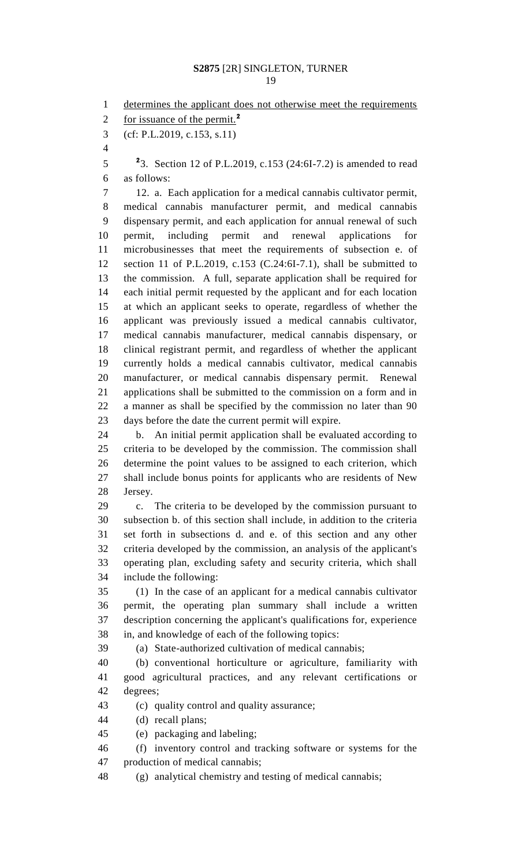1 determines the applicant does not otherwise meet the requirements for issuance of the permit.**<sup>2</sup>** (cf: P.L.2019, c.153, s.11) <sup>2</sup>3. Section 12 of P.L.2019, c.153 (24:6I-7.2) is amended to read as follows: 12. a. Each application for a medical cannabis cultivator permit, medical cannabis manufacturer permit, and medical cannabis dispensary permit, and each application for annual renewal of such permit, including permit and renewal applications for microbusinesses that meet the requirements of subsection e. of section 11 of P.L.2019, c.153 (C.24:6I-7.1), shall be submitted to the commission. A full, separate application shall be required for each initial permit requested by the applicant and for each location at which an applicant seeks to operate, regardless of whether the applicant was previously issued a medical cannabis cultivator, medical cannabis manufacturer, medical cannabis dispensary, or clinical registrant permit, and regardless of whether the applicant currently holds a medical cannabis cultivator, medical cannabis manufacturer, or medical cannabis dispensary permit. Renewal applications shall be submitted to the commission on a form and in a manner as shall be specified by the commission no later than 90 days before the date the current permit will expire. b. An initial permit application shall be evaluated according to criteria to be developed by the commission. The commission shall determine the point values to be assigned to each criterion, which shall include bonus points for applicants who are residents of New Jersey. c. The criteria to be developed by the commission pursuant to subsection b. of this section shall include, in addition to the criteria set forth in subsections d. and e. of this section and any other criteria developed by the commission, an analysis of the applicant's operating plan, excluding safety and security criteria, which shall include the following: (1) In the case of an applicant for a medical cannabis cultivator permit, the operating plan summary shall include a written description concerning the applicant's qualifications for, experience in, and knowledge of each of the following topics: (a) State-authorized cultivation of medical cannabis; (b) conventional horticulture or agriculture, familiarity with good agricultural practices, and any relevant certifications or degrees; (c) quality control and quality assurance; (d) recall plans; (e) packaging and labeling; (f) inventory control and tracking software or systems for the production of medical cannabis; (g) analytical chemistry and testing of medical cannabis;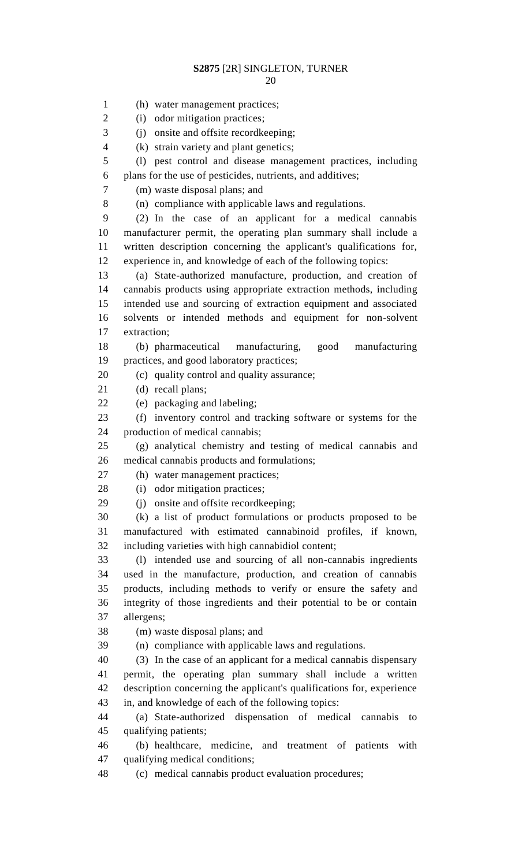(h) water management practices; 2 (i) odor mitigation practices; (j) onsite and offsite recordkeeping; (k) strain variety and plant genetics; (l) pest control and disease management practices, including plans for the use of pesticides, nutrients, and additives; (m) waste disposal plans; and (n) compliance with applicable laws and regulations. (2) In the case of an applicant for a medical cannabis manufacturer permit, the operating plan summary shall include a written description concerning the applicant's qualifications for, experience in, and knowledge of each of the following topics: (a) State-authorized manufacture, production, and creation of cannabis products using appropriate extraction methods, including intended use and sourcing of extraction equipment and associated solvents or intended methods and equipment for non-solvent extraction; (b) pharmaceutical manufacturing, good manufacturing practices, and good laboratory practices; (c) quality control and quality assurance; (d) recall plans; (e) packaging and labeling; (f) inventory control and tracking software or systems for the production of medical cannabis; (g) analytical chemistry and testing of medical cannabis and medical cannabis products and formulations; (h) water management practices; 28 (i) odor mitigation practices; (j) onsite and offsite recordkeeping; (k) a list of product formulations or products proposed to be manufactured with estimated cannabinoid profiles, if known, including varieties with high cannabidiol content; (l) intended use and sourcing of all non-cannabis ingredients used in the manufacture, production, and creation of cannabis products, including methods to verify or ensure the safety and integrity of those ingredients and their potential to be or contain allergens; (m) waste disposal plans; and (n) compliance with applicable laws and regulations. (3) In the case of an applicant for a medical cannabis dispensary permit, the operating plan summary shall include a written description concerning the applicant's qualifications for, experience in, and knowledge of each of the following topics: (a) State-authorized dispensation of medical cannabis to qualifying patients; (b) healthcare, medicine, and treatment of patients with qualifying medical conditions; (c) medical cannabis product evaluation procedures;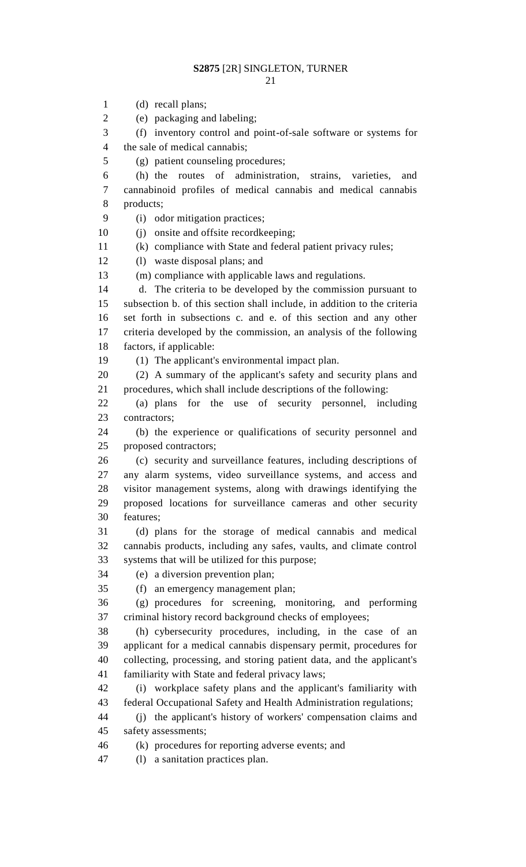(d) recall plans; (e) packaging and labeling; (f) inventory control and point-of-sale software or systems for the sale of medical cannabis; (g) patient counseling procedures; (j) onsite and offsite recordkeeping; (1) The applicant's environmental impact plan. (d) plans for the storage of medical cannabis and medical (f) an emergency management plan;

- -
- (h) the routes of administration, strains, varieties, and cannabinoid profiles of medical cannabis and medical cannabis products;

(i) odor mitigation practices;

(k) compliance with State and federal patient privacy rules;

(l) waste disposal plans; and

(m) compliance with applicable laws and regulations.

 d. The criteria to be developed by the commission pursuant to subsection b. of this section shall include, in addition to the criteria set forth in subsections c. and e. of this section and any other criteria developed by the commission, an analysis of the following factors, if applicable:

 (2) A summary of the applicant's safety and security plans and procedures, which shall include descriptions of the following:

 (a) plans for the use of security personnel, including contractors;

 (b) the experience or qualifications of security personnel and proposed contractors;

 (c) security and surveillance features, including descriptions of any alarm systems, video surveillance systems, and access and visitor management systems, along with drawings identifying the proposed locations for surveillance cameras and other security features;

 cannabis products, including any safes, vaults, and climate control systems that will be utilized for this purpose;

(e) a diversion prevention plan;

 (g) procedures for screening, monitoring, and performing criminal history record background checks of employees;

 (h) cybersecurity procedures, including, in the case of an applicant for a medical cannabis dispensary permit, procedures for collecting, processing, and storing patient data, and the applicant's familiarity with State and federal privacy laws;

 (i) workplace safety plans and the applicant's familiarity with federal Occupational Safety and Health Administration regulations;

 (j) the applicant's history of workers' compensation claims and safety assessments;

(k) procedures for reporting adverse events; and

(l) a sanitation practices plan.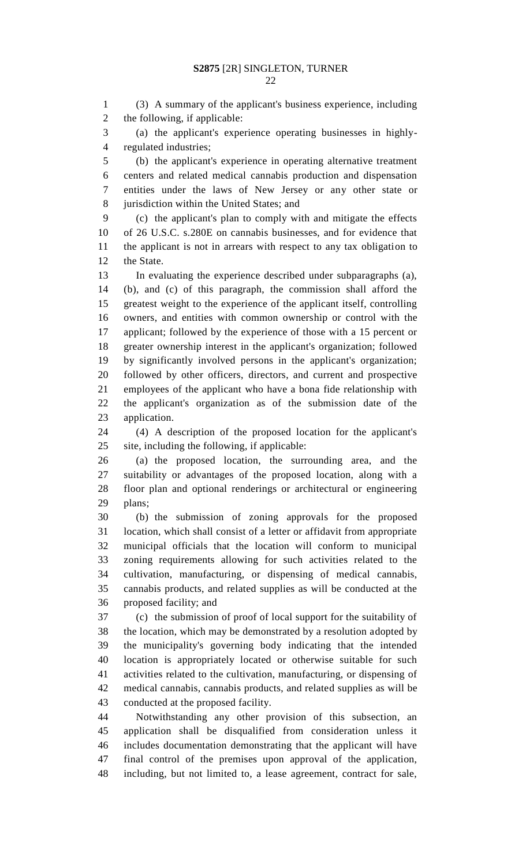(3) A summary of the applicant's business experience, including the following, if applicable:

 (a) the applicant's experience operating businesses in highly-regulated industries;

 (b) the applicant's experience in operating alternative treatment centers and related medical cannabis production and dispensation entities under the laws of New Jersey or any other state or jurisdiction within the United States; and

 (c) the applicant's plan to comply with and mitigate the effects of 26 U.S.C. s.280E on cannabis businesses, and for evidence that the applicant is not in arrears with respect to any tax obligation to the State.

 In evaluating the experience described under subparagraphs (a), (b), and (c) of this paragraph, the commission shall afford the greatest weight to the experience of the applicant itself, controlling owners, and entities with common ownership or control with the applicant; followed by the experience of those with a 15 percent or greater ownership interest in the applicant's organization; followed by significantly involved persons in the applicant's organization; followed by other officers, directors, and current and prospective employees of the applicant who have a bona fide relationship with the applicant's organization as of the submission date of the application.

 (4) A description of the proposed location for the applicant's site, including the following, if applicable:

 (a) the proposed location, the surrounding area, and the suitability or advantages of the proposed location, along with a floor plan and optional renderings or architectural or engineering plans;

 (b) the submission of zoning approvals for the proposed location, which shall consist of a letter or affidavit from appropriate municipal officials that the location will conform to municipal zoning requirements allowing for such activities related to the cultivation, manufacturing, or dispensing of medical cannabis, cannabis products, and related supplies as will be conducted at the proposed facility; and

 (c) the submission of proof of local support for the suitability of the location, which may be demonstrated by a resolution adopted by the municipality's governing body indicating that the intended location is appropriately located or otherwise suitable for such activities related to the cultivation, manufacturing, or dispensing of medical cannabis, cannabis products, and related supplies as will be conducted at the proposed facility.

 Notwithstanding any other provision of this subsection, an application shall be disqualified from consideration unless it includes documentation demonstrating that the applicant will have final control of the premises upon approval of the application, including, but not limited to, a lease agreement, contract for sale,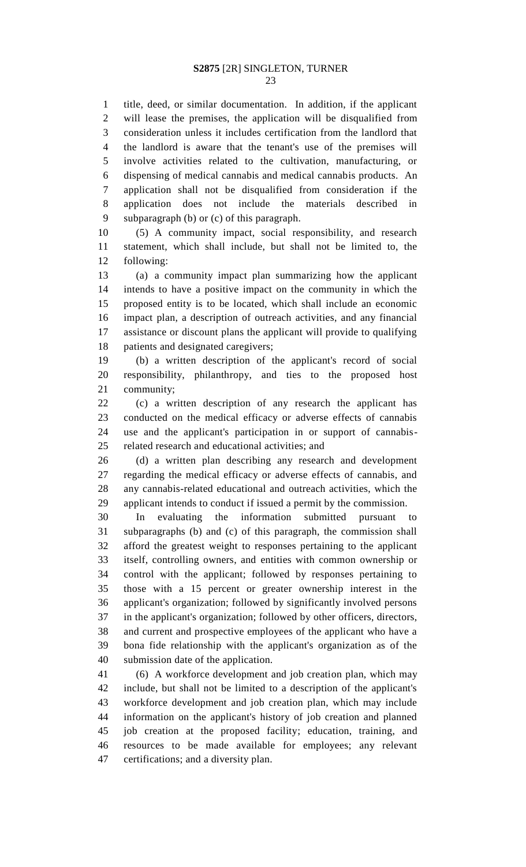title, deed, or similar documentation. In addition, if the applicant will lease the premises, the application will be disqualified from consideration unless it includes certification from the landlord that the landlord is aware that the tenant's use of the premises will involve activities related to the cultivation, manufacturing, or dispensing of medical cannabis and medical cannabis products. An application shall not be disqualified from consideration if the application does not include the materials described in subparagraph (b) or (c) of this paragraph.

 (5) A community impact, social responsibility, and research statement, which shall include, but shall not be limited to, the following:

 (a) a community impact plan summarizing how the applicant intends to have a positive impact on the community in which the proposed entity is to be located, which shall include an economic impact plan, a description of outreach activities, and any financial assistance or discount plans the applicant will provide to qualifying patients and designated caregivers;

 (b) a written description of the applicant's record of social responsibility, philanthropy, and ties to the proposed host community;

 (c) a written description of any research the applicant has conducted on the medical efficacy or adverse effects of cannabis use and the applicant's participation in or support of cannabis-related research and educational activities; and

 (d) a written plan describing any research and development regarding the medical efficacy or adverse effects of cannabis, and any cannabis-related educational and outreach activities, which the applicant intends to conduct if issued a permit by the commission.

 In evaluating the information submitted pursuant to subparagraphs (b) and (c) of this paragraph, the commission shall afford the greatest weight to responses pertaining to the applicant itself, controlling owners, and entities with common ownership or control with the applicant; followed by responses pertaining to those with a 15 percent or greater ownership interest in the applicant's organization; followed by significantly involved persons in the applicant's organization; followed by other officers, directors, and current and prospective employees of the applicant who have a bona fide relationship with the applicant's organization as of the submission date of the application.

 (6) A workforce development and job creation plan, which may include, but shall not be limited to a description of the applicant's workforce development and job creation plan, which may include information on the applicant's history of job creation and planned job creation at the proposed facility; education, training, and resources to be made available for employees; any relevant certifications; and a diversity plan.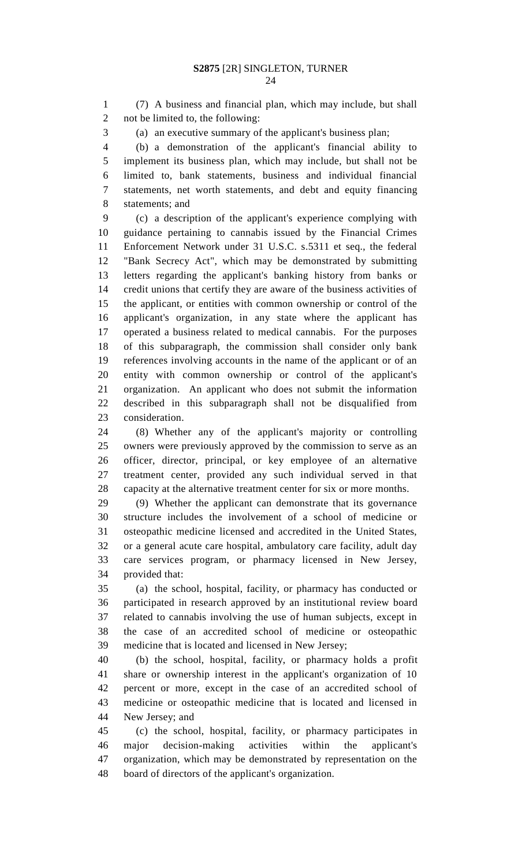(7) A business and financial plan, which may include, but shall not be limited to, the following:

(a) an executive summary of the applicant's business plan;

 (b) a demonstration of the applicant's financial ability to implement its business plan, which may include, but shall not be limited to, bank statements, business and individual financial statements, net worth statements, and debt and equity financing statements; and

 (c) a description of the applicant's experience complying with guidance pertaining to cannabis issued by the Financial Crimes Enforcement Network under 31 U.S.C. s.5311 et seq., the federal "Bank Secrecy Act", which may be demonstrated by submitting letters regarding the applicant's banking history from banks or credit unions that certify they are aware of the business activities of the applicant, or entities with common ownership or control of the applicant's organization, in any state where the applicant has operated a business related to medical cannabis. For the purposes of this subparagraph, the commission shall consider only bank references involving accounts in the name of the applicant or of an entity with common ownership or control of the applicant's organization. An applicant who does not submit the information described in this subparagraph shall not be disqualified from consideration.

 (8) Whether any of the applicant's majority or controlling owners were previously approved by the commission to serve as an officer, director, principal, or key employee of an alternative treatment center, provided any such individual served in that capacity at the alternative treatment center for six or more months.

 (9) Whether the applicant can demonstrate that its governance structure includes the involvement of a school of medicine or osteopathic medicine licensed and accredited in the United States, or a general acute care hospital, ambulatory care facility, adult day care services program, or pharmacy licensed in New Jersey, provided that:

 (a) the school, hospital, facility, or pharmacy has conducted or participated in research approved by an institutional review board related to cannabis involving the use of human subjects, except in the case of an accredited school of medicine or osteopathic medicine that is located and licensed in New Jersey;

 (b) the school, hospital, facility, or pharmacy holds a profit share or ownership interest in the applicant's organization of 10 percent or more, except in the case of an accredited school of medicine or osteopathic medicine that is located and licensed in New Jersey; and

 (c) the school, hospital, facility, or pharmacy participates in major decision-making activities within the applicant's organization, which may be demonstrated by representation on the board of directors of the applicant's organization.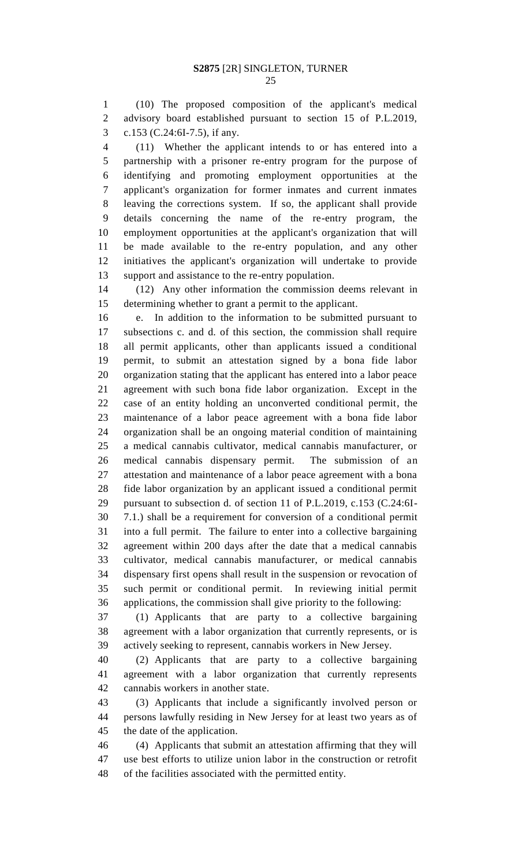(10) The proposed composition of the applicant's medical advisory board established pursuant to section 15 of P.L.2019, c.153 (C.24:6I-7.5), if any.

 (11) Whether the applicant intends to or has entered into a partnership with a prisoner re-entry program for the purpose of identifying and promoting employment opportunities at the applicant's organization for former inmates and current inmates leaving the corrections system. If so, the applicant shall provide details concerning the name of the re-entry program, the employment opportunities at the applicant's organization that will be made available to the re-entry population, and any other initiatives the applicant's organization will undertake to provide support and assistance to the re-entry population.

 (12) Any other information the commission deems relevant in determining whether to grant a permit to the applicant.

 e. In addition to the information to be submitted pursuant to subsections c. and d. of this section, the commission shall require all permit applicants, other than applicants issued a conditional permit, to submit an attestation signed by a bona fide labor organization stating that the applicant has entered into a labor peace agreement with such bona fide labor organization. Except in the case of an entity holding an unconverted conditional permit, the maintenance of a labor peace agreement with a bona fide labor organization shall be an ongoing material condition of maintaining a medical cannabis cultivator, medical cannabis manufacturer, or medical cannabis dispensary permit. The submission of an attestation and maintenance of a labor peace agreement with a bona fide labor organization by an applicant issued a conditional permit pursuant to subsection d. of section 11 of P.L.2019, c.153 (C.24:6I- 7.1.) shall be a requirement for conversion of a conditional permit into a full permit. The failure to enter into a collective bargaining agreement within 200 days after the date that a medical cannabis cultivator, medical cannabis manufacturer, or medical cannabis dispensary first opens shall result in the suspension or revocation of such permit or conditional permit. In reviewing initial permit applications, the commission shall give priority to the following:

 (1) Applicants that are party to a collective bargaining agreement with a labor organization that currently represents, or is actively seeking to represent, cannabis workers in New Jersey.

 (2) Applicants that are party to a collective bargaining agreement with a labor organization that currently represents cannabis workers in another state.

 (3) Applicants that include a significantly involved person or persons lawfully residing in New Jersey for at least two years as of the date of the application.

 (4) Applicants that submit an attestation affirming that they will use best efforts to utilize union labor in the construction or retrofit of the facilities associated with the permitted entity.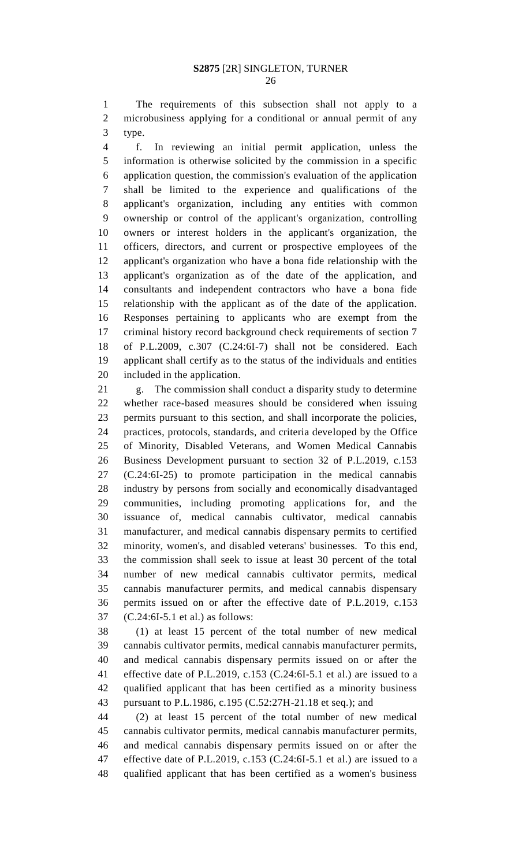The requirements of this subsection shall not apply to a microbusiness applying for a conditional or annual permit of any type.

 f. In reviewing an initial permit application, unless the information is otherwise solicited by the commission in a specific application question, the commission's evaluation of the application shall be limited to the experience and qualifications of the applicant's organization, including any entities with common ownership or control of the applicant's organization, controlling owners or interest holders in the applicant's organization, the officers, directors, and current or prospective employees of the applicant's organization who have a bona fide relationship with the applicant's organization as of the date of the application, and consultants and independent contractors who have a bona fide relationship with the applicant as of the date of the application. Responses pertaining to applicants who are exempt from the criminal history record background check requirements of section 7 of P.L.2009, c.307 (C.24:6I-7) shall not be considered. Each applicant shall certify as to the status of the individuals and entities included in the application.

 g. The commission shall conduct a disparity study to determine whether race-based measures should be considered when issuing permits pursuant to this section, and shall incorporate the policies, practices, protocols, standards, and criteria developed by the Office of Minority, Disabled Veterans, and Women Medical Cannabis Business Development pursuant to section 32 of P.L.2019, c.153 (C.24:6I-25) to promote participation in the medical cannabis industry by persons from socially and economically disadvantaged communities, including promoting applications for, and the issuance of, medical cannabis cultivator, medical cannabis manufacturer, and medical cannabis dispensary permits to certified minority, women's, and disabled veterans' businesses. To this end, the commission shall seek to issue at least 30 percent of the total number of new medical cannabis cultivator permits, medical cannabis manufacturer permits, and medical cannabis dispensary permits issued on or after the effective date of P.L.2019, c.153 (C.24:6I-5.1 et al.) as follows:

 (1) at least 15 percent of the total number of new medical cannabis cultivator permits, medical cannabis manufacturer permits, and medical cannabis dispensary permits issued on or after the effective date of P.L.2019, c.153 (C.24:6I-5.1 et al.) are issued to a qualified applicant that has been certified as a minority business pursuant to P.L.1986, c.195 (C.52:27H-21.18 et seq.); and

 (2) at least 15 percent of the total number of new medical cannabis cultivator permits, medical cannabis manufacturer permits, and medical cannabis dispensary permits issued on or after the effective date of P.L.2019, c.153 (C.24:6I-5.1 et al.) are issued to a qualified applicant that has been certified as a women's business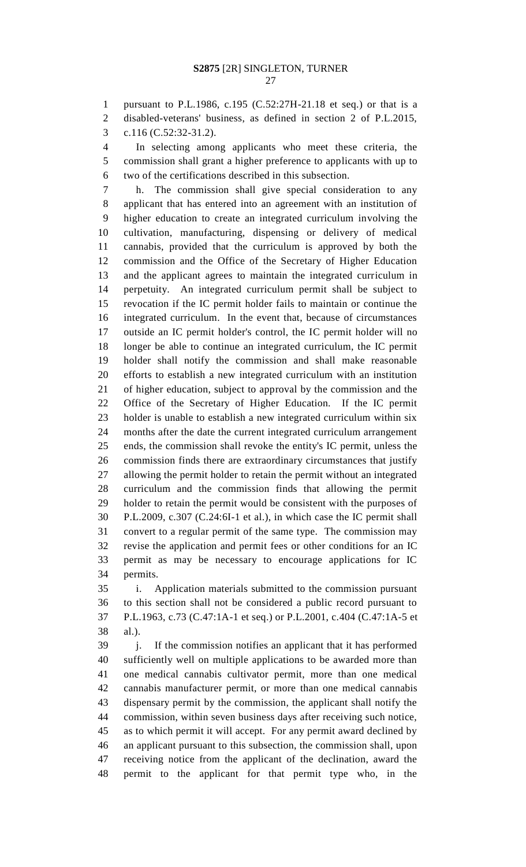pursuant to P.L.1986, c.195 (C.52:27H-21.18 et seq.) or that is a

disabled-veterans' business, as defined in section 2 of P.L.2015,

c.116 (C.52:32-31.2).

 In selecting among applicants who meet these criteria, the commission shall grant a higher preference to applicants with up to two of the certifications described in this subsection.

 h. The commission shall give special consideration to any applicant that has entered into an agreement with an institution of higher education to create an integrated curriculum involving the cultivation, manufacturing, dispensing or delivery of medical cannabis, provided that the curriculum is approved by both the commission and the Office of the Secretary of Higher Education and the applicant agrees to maintain the integrated curriculum in perpetuity. An integrated curriculum permit shall be subject to revocation if the IC permit holder fails to maintain or continue the integrated curriculum. In the event that, because of circumstances outside an IC permit holder's control, the IC permit holder will no longer be able to continue an integrated curriculum, the IC permit holder shall notify the commission and shall make reasonable efforts to establish a new integrated curriculum with an institution of higher education, subject to approval by the commission and the Office of the Secretary of Higher Education. If the IC permit holder is unable to establish a new integrated curriculum within six months after the date the current integrated curriculum arrangement ends, the commission shall revoke the entity's IC permit, unless the commission finds there are extraordinary circumstances that justify allowing the permit holder to retain the permit without an integrated curriculum and the commission finds that allowing the permit holder to retain the permit would be consistent with the purposes of P.L.2009, c.307 (C.24:6I-1 et al.), in which case the IC permit shall convert to a regular permit of the same type. The commission may revise the application and permit fees or other conditions for an IC permit as may be necessary to encourage applications for IC permits.

 i. Application materials submitted to the commission pursuant to this section shall not be considered a public record pursuant to P.L.1963, c.73 (C.47:1A-1 et seq.) or P.L.2001, c.404 (C.47:1A-5 et al.).

 j. If the commission notifies an applicant that it has performed sufficiently well on multiple applications to be awarded more than one medical cannabis cultivator permit, more than one medical cannabis manufacturer permit, or more than one medical cannabis dispensary permit by the commission, the applicant shall notify the commission, within seven business days after receiving such notice, as to which permit it will accept. For any permit award declined by an applicant pursuant to this subsection, the commission shall, upon receiving notice from the applicant of the declination, award the permit to the applicant for that permit type who, in the